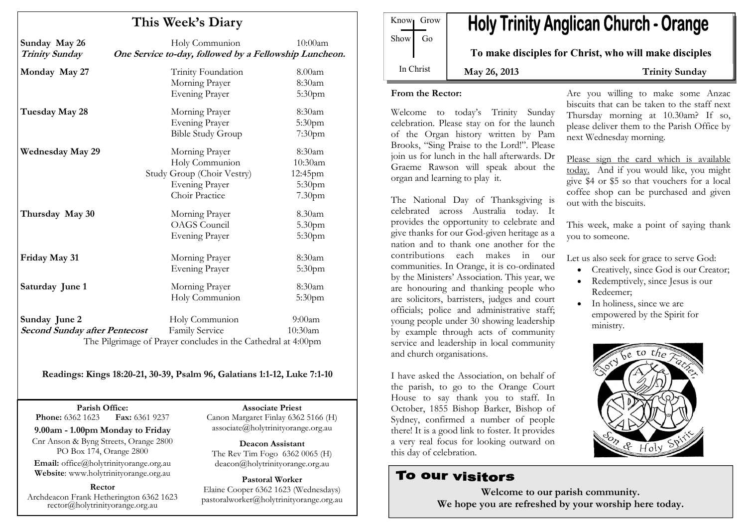| This Week's Diary                                     |                                                                                                           |                                                    |
|-------------------------------------------------------|-----------------------------------------------------------------------------------------------------------|----------------------------------------------------|
| Sunday May 26<br><b>Trinity Sunday</b>                | Holy Communion<br>One Service to-day, followed by a Fellowship Luncheon.                                  | 10:00am                                            |
| Monday May 27                                         | Trinity Foundation<br>Morning Prayer<br><b>Evening Prayer</b>                                             | 8.00am<br>8:30am<br>5:30pm                         |
| Tuesday May 28                                        | Morning Prayer<br><b>Evening Prayer</b><br><b>Bible Study Group</b>                                       | 8:30am<br>5:30 <sub>pm</sub><br>7:30 <sub>pm</sub> |
| <b>Wednesday May 29</b>                               | Morning Prayer<br>Holy Communion<br>Study Group (Choir Vestry)<br><b>Evening Prayer</b><br>Choir Practice | 8:30am<br>10:30am<br>12:45pm<br>5:30pm<br>7.30pm   |
| Thursday May 30                                       | Morning Prayer<br><b>OAGS</b> Council<br><b>Evening Prayer</b>                                            | 8.30am<br>5.30pm<br>5:30pm                         |
| Friday May 31                                         | Morning Prayer<br><b>Evening Prayer</b>                                                                   | 8:30am<br>5:30pm                                   |
| Saturday June 1                                       | Morning Prayer<br>Holy Communion                                                                          | 8:30am<br>5:30pm                                   |
| Sunday June 2<br><b>Second Sunday after Pentecost</b> | Holy Communion<br>Family Service<br>The Pilgrimage of Prayer concludes in the Cathedral at 4:00pm         | 9:00am<br>10:30am                                  |

Readings: Kings 18:20-21, 30-39, Psalm 96, Galatians 1:1-12, Luke 7:1-10

Parish Office: Fax: 6361 9237 **Phone:** 6362 1623

9.00am - 1.00pm Monday to Friday Cnr Anson & Byng Streets, Orange 2800 PO Box 174, Orange 2800

Email: office@holytrinityorange.org.au Website: www.holytrinityorange.org.au

Rector

Archdeacon Frank Hetherington 6362 1623 rector@holytrinityorange.org.au

Associate Priest Canon Margaret Finlay 6362 5166 (H) associate@holytrinityorange.org.au

Deacon Assistant The Rev Tim Fogo 6362 0065 (H) deacon@holytrinityorange.org.au

Pastoral Worker Elaine Cooper 6362 1623 (Wednesdays) pastoralworker@holytrinityorange.org.au

Know<sub>l</sub> Grow  $Show \mid Go$ In Christ

# **Holy Trinity Anglican Church - Orange**

To make disciples for Christ, who will make disciples

May 26, 2013 Trinity Sunday

#### From the Rector:

Welcome to today's Trinity Sunday celebration. Please stay on for the launch of the Organ history written by Pam Brooks, "Sing Praise to the Lord!". Please join us for lunch in the hall afterwards. Dr Graeme Rawson will speak about the organ and learning to play it.

The National Day of Thanksgiving is celebrated across Australia today. It provides the opportunity to celebrate and give thanks for our God-given heritage as a nation and to thank one another for the contributions each makes in our communities. In Orange, it is co-ordinated by the Ministers' Association. This year, we are honouring and thanking people who are solicitors, barristers, judges and court officials; police and administrative staff; young people under 30 showing leadership by example through acts of community service and leadership in local community and church organisations.

I have asked the Association, on behalf of the parish, to go to the Orange Court House to say thank you to staff. In October, 1855 Bishop Barker, Bishop of Sydney, confirmed a number of people there! It is a good link to foster. It provides a very real focus for looking outward on this day of celebration.

# To our visitors

Are you willing to make some Anzac biscuits that can be taken to the staff next Thursday morning at 10.30am? If so, please deliver them to the Parish Office by next Wednesday morning.

Please sign the card which is available today. And if you would like, you might give \$4 or \$5 so that vouchers for a local coffee shop can be purchased and given out with the biscuits.

This week, make a point of saying thank you to someone.

Let us also seek for grace to serve God:

- Creatively, since God is our Creator;
- Redemptively, since Jesus is our Redeemer;
- In holiness, since we are empowered by the Spirit for ministry.



Welcome to our parish community. We hope you are refreshed by your worship here today.